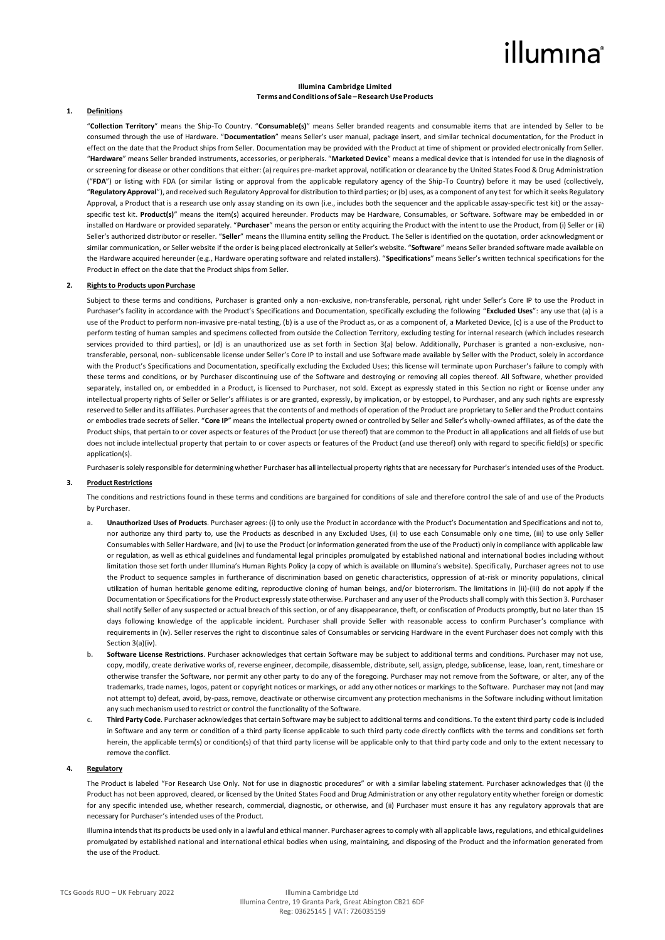# illumına

#### **Illumina Cambridge Limited Terms andConditions of Sale –ResearchUseProducts**

#### **1. Definitions**

"**Collection Territory**" means the Ship-To Country. "**Consumable(s)**" means Seller branded reagents and consumable items that are intended by Seller to be consumed through the use of Hardware. "**Documentation**" means Seller's user manual, package insert, and similar technical documentation, for the Product in effect on the date that the Product ships from Seller. Documentation may be provided with the Product at time of shipment or provided electronically from Seller. "**Hardware**" means Seller branded instruments, accessories, or peripherals. "**Marketed Device**" means a medical device that is intended for use in the diagnosis of or screening for disease or other conditions that either: (a) requires pre-market approval, notification or clearance by the United States Food & Drug Administration ("**FDA**") or listing with FDA (or similar listing or approval from the applicable regulatory agency of the Ship-To Country) before it may be used (collectively, "**Regulatory Approval**"), and received such Regulatory Approval for distribution to third parties; or (b) uses, as a component of any test for which it seeks Regulatory Approval, a Product that is a research use only assay standing on its own (i.e., includes both the sequencer and the applicable assay-specific test kit) or the assayspecific test kit. Product(s)" means the item(s) acquired hereunder. Products may be Hardware, Consumables, or Software. Software may be embedded in or installed on Hardware or provided separately. "**Purchaser**" means the person or entity acquiring the Product with the intent to use the Product, from (i) Seller or (ii) Seller's authorized distributor or reseller. "**Seller**" means the Illumina entity selling the Product. The Seller is identified on the quotation, order acknowledgment or similar communication, or Seller website if the order is being placed electronically at Seller's website. "**Software**" means Seller branded software made available on the Hardware acquired hereunder (e.g., Hardware operating software and related installers). "**Specifications**" means Seller's written technical specifications for the Product in effect on the date that the Product ships from Seller.

### **2. Rights to Products upon Purchase**

Subject to these terms and conditions, Purchaser is granted only a non-exclusive, non-transferable, personal, right under Seller's Core IP to use the Product in Purchaser's facility in accordance with the Product's Specifications and Documentation, specifically excluding the following "Excluded Uses": any use that (a) is a use of the Product to perform non-invasive pre-natal testing, (b) is a use of the Product as, or as a component of, a Marketed Device, (c) is a use of the Product to perform testing of human samples and specimens collected from outside the Collection Territory, excluding testing for internal research (which includes research services provided to third parties), or (d) is an unauthorized use as set forth in Section 3(a) below. Additionally, Purchaser is granted a non-exclusive, nontransferable, personal, non- sublicensable license under Seller's Core IP to install and use Software made available by Seller with the Product, solely in accordance with the Product's Specifications and Documentation, specifically excluding the Excluded Uses; this license will terminate upon Purchaser's failure to comply with these terms and conditions, or by Purchaser discontinuing use of the Software and destroying or removing all copies thereof. All Software, whether provided separately, installed on, or embedded in a Product, is licensed to Purchaser, not sold. Except as expressly stated in this Section no right or license under any intellectual property rights of Seller or Seller's affiliates is or are granted, expressly, by implication, or by estoppel, to Purchaser, and any such rights are expressly reserved to Seller and its affiliates. Purchaser agrees that the contents of and methods of operation of the Product are proprietary to Seller and the Product contains or embodies trade secrets of Seller. "**Core IP**" means the intellectual property owned or controlled by Seller and Seller's wholly-owned affiliates, as of the date the Product ships, that pertain to or cover aspects or features of the Product (or use thereof) that are common to the Product in all applications and all fields of use but does not include intellectual property that pertain to or cover aspects or features of the Product (and use thereof) only with regard to specific field(s) or specific application(s).

Purchaser is solely responsible for determining whether Purchaser has all intellectual property rights that are necessary for Purchaser's intended uses of the Product.

## **3. Product Restrictions**

The conditions and restrictions found in these terms and conditions are bargained for conditions of sale and therefore control the sale of and use of the Products by Purchaser.

- **a. Unauthorized Uses of Products**. Purchaser agrees: (i) to only use the Product in accordance with the Product's Documentation and Specifications and not to, nor authorize any third party to, use the Products as described in any Excluded Uses, (ii) to use each Consumable only one time, (iii) to use only Seller Consumables with Seller Hardware, and (iv) to use the Product (or information generated from the use of the Product) only in compliance with applicable law or regulation, as well as ethical guidelines and fundamental legal principles promulgated by established national and international bodies including without limitation those set forth under Illumina's Human Rights Policy (a copy of which is available on Illumina's website). Specifically, Purchaser agrees not to use the Product to sequence samples in furtherance of discrimination based on genetic characteristics, oppression of at-risk or minority populations, clinical utilization of human heritable genome editing, reproductive cloning of human beings, and/or bioterrorism. The limitations in (ii)-(iii) do not apply if the Documentation or Specifications for the Product expressly state otherwise. Purchaser and any user of the Products shall comply with this Section 3. Purchaser shall notify Seller of any suspected or actual breach of this section, or of any disappearance, theft, or confiscation of Products promptly, but no later than 15 days following knowledge of the applicable incident. Purchaser shall provide Seller with reasonable access to confirm Purchaser's compliance with requirements in (iv). Seller reserves the right to discontinue sales of Consumables or servicing Hardware in the event Purchaser does not comply with this Section 3(a)(iv).
- **b. Software License Restrictions**. Purchaser acknowledges that certain Software may be subject to additional terms and conditions. Purchaser may not use, copy, modify, create derivative works of, reverse engineer, decompile, disassemble, distribute, sell, assign, pledge, sublicense, lease, loan, rent, timeshare or otherwise transfer the Software, nor permit any other party to do any of the foregoing. Purchaser may not remove from the Software, or alter, any of the trademarks, trade names, logos, patent or copyright notices or markings, or add any other notices or markings to the Software. Purchaser may not (and may not attempt to) defeat, avoid, by-pass, remove, deactivate or otherwise circumvent any protection mechanisms in the Software including without limitation any such mechanism used to restrict or control the functionality of the Software.
- **c. Third Party Code**. Purchaser acknowledges that certain Software may be subject to additional terms and conditions. To the extent third party code is included in Software and any term or condition of a third party license applicable to such third party code directly conflicts with the terms and conditions set forth herein, the applicable term(s) or condition(s) of that third party license will be applicable only to that third party code and only to the extent necessary to remove the conflict.

#### **4. Regulatory**

The Product is labeled "For Research Use Only. Not for use in diagnostic procedures" or with a similar labeling statement. Purchaser acknowledges that (i) the Product has not been approved, cleared, or licensed by the United States Food and Drug Administration or any other regulatory entity whether foreign or domestic for any specific intended use, whether research, commercial, diagnostic, or otherwise, and (ii) Purchaser must ensure it has any regulatory approvals that are necessary for Purchaser's intended uses of the Product.

Illumina intends that its products be used only in a lawful and ethical manner. Purchaser agrees to comply with all applicable laws, regulations, and ethical guidelines promulgated by established national and international ethical bodies when using, maintaining, and disposing of the Product and the information generated from the use of the Product.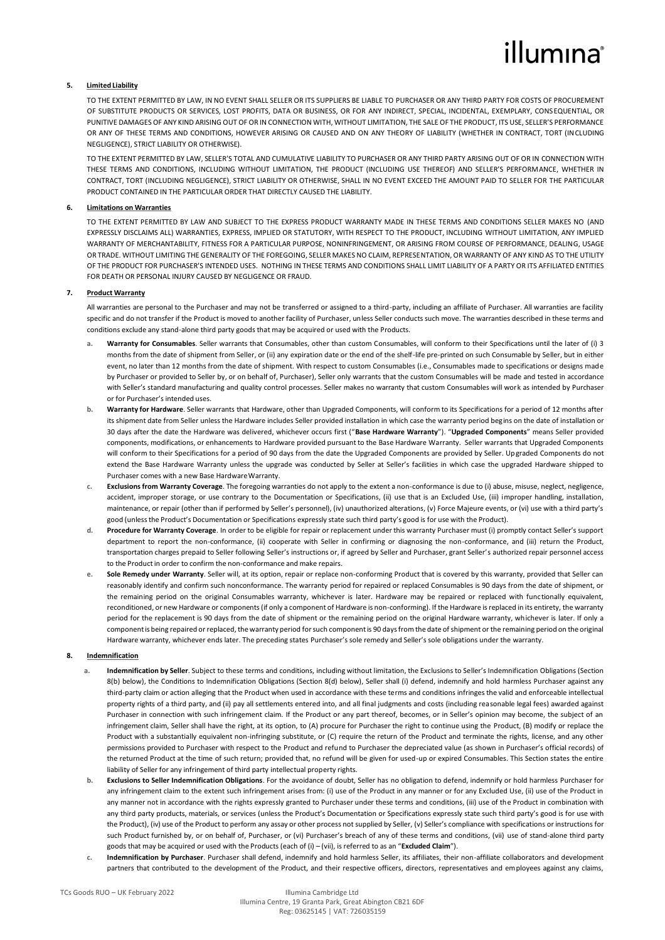# illumina®

### **5. Limited Liability**

TO THE EXTENT PERMITTED BY LAW, IN NO EVENT SHALL SELLER OR ITS SUPPLIERS BE LIABLE TO PURCHASER OR ANY THIRD PARTY FOR COSTS OF PROCUREMENT OF SUBSTITUTE PRODUCTS OR SERVICES, LOST PROFITS, DATA OR BUSINESS, OR FOR ANY INDIRECT, SPECIAL, INCIDENTAL, EXEMPLARY, CONSEQUENTIAL, OR PUNITIVE DAMAGES OF ANY KIND ARISING OUT OF OR IN CONNECTION WITH, WITHOUT LIMITATION, THE SALE OF THE PRODUCT, ITS USE, SELLER'S PERFORMANCE OR ANY OF THESE TERMS AND CONDITIONS, HOWEVER ARISING OR CAUSED AND ON ANY THEORY OF LIABILITY (WHETHER IN CONTRACT, TORT (INCLUDING NEGLIGENCE), STRICT LIABILITY OR OTHERWISE).

TO THE EXTENT PERMITTED BY LAW, SELLER'S TOTAL AND CUMULATIVE LIABILITY TO PURCHASER OR ANY THIRD PARTY ARISING OUT OF OR IN CONNECTION WITH THESE TERMS AND CONDITIONS, INCLUDING WITHOUT LIMITATION, THE PRODUCT (INCLUDING USE THEREOF) AND SELLER'S PERFORMANCE, WHETHER IN CONTRACT, TORT (INCLUDING NEGLIGENCE), STRICT LIABILITY OR OTHERWISE, SHALL IN NO EVENT EXCEED THE AMOUNT PAID TO SELLER FOR THE PARTICULAR PRODUCT CONTAINED IN THE PARTICULAR ORDER THAT DIRECTLY CAUSED THE LIABILITY.

### **6. Limitations on Warranties**

TO THE EXTENT PERMITTED BY LAW AND SUBJECT TO THE EXPRESS PRODUCT WARRANTY MADE IN THESE TERMS AND CONDITIONS SELLER MAKES NO (AND EXPRESSLY DISCLAIMS ALL) WARRANTIES, EXPRESS, IMPLIED OR STATUTORY, WITH RESPECT TO THE PRODUCT, INCLUDING WITHOUT LIMITATION, ANY IMPLIED WARRANTY OF MERCHANTABILITY, FITNESS FOR A PARTICULAR PURPOSE, NONINFRINGEMENT, OR ARISING FROM COURSE OF PERFORMANCE, DEALING, USAGE OR TRADE. WITHOUT LIMITING THE GENERALITY OF THE FOREGOING, SELLER MAKES NO CLAIM, REPRESENTATION, OR WARRANTY OF ANY KIND AS TO THE UTILITY OF THE PRODUCT FOR PURCHASER'S INTENDED USES. NOTHING IN THESE TERMS AND CONDITIONS SHALL LIMIT LIABILITY OF A PARTY OR ITS AFFILIATED ENTITIES FOR DEATH OR PERSONAL INJURY CAUSED BY NEGLIGENCE OR FRAUD.

### **7. Product Warranty**

All warranties are personal to the Purchaser and may not be transferred or assigned to a third-party, including an affiliate of Purchaser. All warranties are facility specific and do not transfer if the Product is moved to another facility of Purchaser, unless Seller conducts such move. The warranties described in these terms and conditions exclude any stand-alone third party goods that may be acquired or used with the Products.

- **a. Warranty for Consumables**. Seller warrants that Consumables, other than custom Consumables, will conform to their Specifications until the later of (i) 3 months from the date of shipment from Seller, or (ii) any expiration date or the end of the shelf-life pre-printed on such Consumable by Seller, but in either event, no later than 12 months from the date of shipment. With respect to custom Consumables (i.e., Consumables made to specifications or designs made by Purchaser or provided to Seller by, or on behalf of, Purchaser), Seller only warrants that the custom Consumables will be made and tested in accordance with Seller's standard manufacturing and quality control processes. Seller makes no warranty that custom Consumables will work as intended by Purchaser or for Purchaser's intended uses.
- **b. Warranty for Hardware**. Seller warrants that Hardware, other than Upgraded Components, will conform to its Specifications for a period of 12 months after its shipment date from Seller unless the Hardware includes Seller provided installation in which case the warranty period begins on the date of installation or 30 days after the date the Hardware was delivered, whichever occurs first ("**Base Hardware Warranty**"). "**Upgraded Components**" means Seller provided components, modifications, or enhancements to Hardware provided pursuant to the Base Hardware Warranty. Seller warrants that Upgraded Components will conform to their Specifications for a period of 90 days from the date the Upgraded Components are provided by Seller. Upgraded Components do not extend the Base Hardware Warranty unless the upgrade was conducted by Seller at Seller's facilities in which case the upgraded Hardware shipped to Purchaser comes with a new Base Hardware Warranty.
- **c. Exclusions from Warranty Coverage**. The foregoing warranties do not apply to the extent a non-conformance is due to (i) abuse, misuse, neglect, negligence, accident, improper storage, or use contrary to the Documentation or Specifications, (ii) use that is an Excluded Use, (iii) improper handling, installation, maintenance, or repair (other than if performed by Seller's personnel), (iv) unauthorized alterations, (v) Force Majeure events, or (vi) use with a third party's good (unlessthe Product's Documentation or Specifications expressly state such third party's good is for use with the Product).
- **d. Procedure for Warranty Coverage**. In order to be eligible for repair or replacement under this warranty Purchaser must (i) promptly contact Seller's support department to report the non-conformance, (ii) cooperate with Seller in confirming or diagnosing the non-conformance, and (iii) return the Product, transportation charges prepaid to Seller following Seller's instructions or, if agreed by Seller and Purchaser, grant Seller's authorized repair personnel access to the Product in order to confirm the non-conformance and make repairs.
- **e. Sole Remedy under Warranty**. Seller will, at its option, repair or replace non-conforming Product that is covered by this warranty, provided that Seller can reasonably identify and confirm such nonconformance. The warranty period for repaired or replaced Consumables is 90 days from the date of shipment, or the remaining period on the original Consumables warranty, whichever is later. Hardware may be repaired or replaced with functionally equivalent, reconditioned, or new Hardware or components (if only a component of Hardware is non-conforming). If the Hardware is replaced in its entirety, the warranty period for the replacement is 90 days from the date of shipment or the remaining period on the original Hardware warranty, whichever is later. If only a componentis being repaired or replaced, the warranty period forsuch componentis 90 daysfrom the date of shipment or the remaining period on the original Hardware warranty, whichever ends later. The preceding states Purchaser's sole remedy and Seller's sole obligations under the warranty.

#### **8. Indemnification**

- **a. Indemnification by Seller**. Subject to these terms and conditions, including without limitation, the Exclusions to Seller's Indemnification Obligations (Section 8(b) below), the Conditions to Indemnification Obligations (Section 8(d) below), Seller shall (i) defend, indemnify and hold harmless Purchaser against any third-party claim or action alleging that the Product when used in accordance with these terms and conditions infringes the valid and enforceable intellectual property rights of a third party, and (ii) pay all settlements entered into, and all final judgments and costs (including reasonable legal fees) awarded against Purchaser in connection with such infringement claim. If the Product or any part thereof, becomes, or in Seller's opinion may become, the subject of an infringement claim, Seller shall have the right, at its option, to (A) procure for Purchaser the right to continue using the Product, (B) modify or replace the Product with a substantially equivalent non-infringing substitute, or (C) require the return of the Product and terminate the rights, license, and any other permissions provided to Purchaser with respect to the Product and refund to Purchaser the depreciated value (as shown in Purchaser's official records) of the returned Product at the time of such return; provided that, no refund will be given for used-up or expired Consumables. This Section states the entire liability of Seller for any infringement of third party intellectual property rights.
- **b. Exclusions to Seller Indemnification Obligations**. For the avoidance of doubt, Seller has no obligation to defend, indemnify or hold harmless Purchaser for any infringement claim to the extent such infringement arises from: (i) use of the Product in any manner or for any Excluded Use, (ii) use of the Product in any manner not in accordance with the rights expressly granted to Purchaser under these terms and conditions, (iii) use of the Product in combination with any third party products, materials, or services (unless the Product's Documentation or Specifications expressly state such third party's good is for use with the Product), (iv) use of the Product to perform any assay or other process not supplied by Seller, (v) Seller's compliance with specifications or instructions for such Product furnished by, or on behalf of, Purchaser, or (vi) Purchaser's breach of any of these terms and conditions, (vii) use of stand-alone third party goods that may be acquired or used with the Products (each of (i) – (vii), is referred to as an "**Excluded Claim**").
- **c. Indemnification by Purchaser**. Purchaser shall defend, indemnify and hold harmless Seller, its affiliates, their non-affiliate collaborators and development partners that contributed to the development of the Product, and their respective officers, directors, representatives and employees against any claims,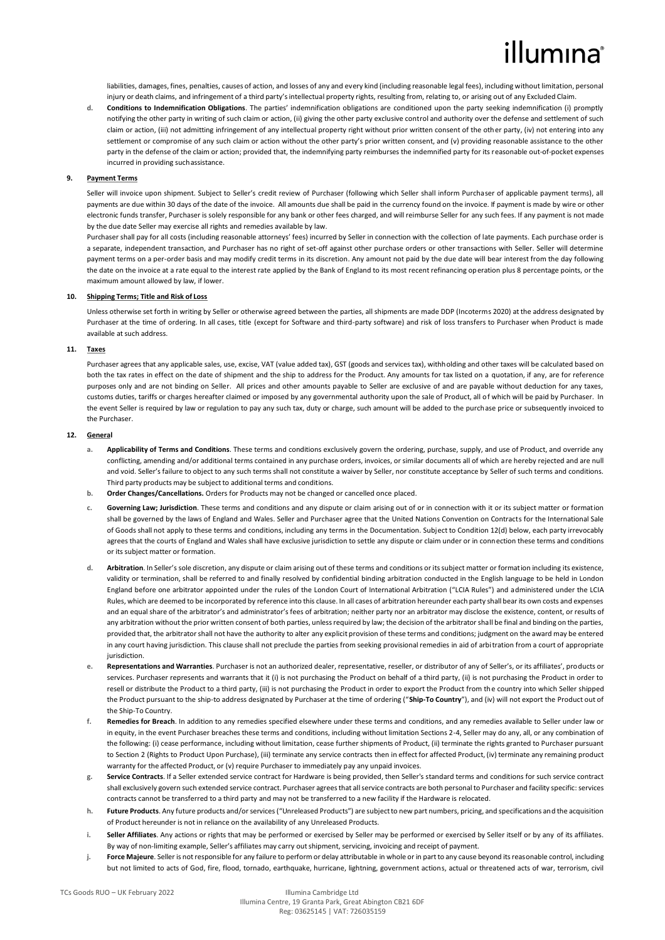# illumına

liabilities, damages, fines, penalties, causes of action, and losses of any and every kind (including reasonable legal fees), including without limitation, personal injury or death claims, and infringement of a third party'sintellectual property rights, resulting from, relating to, or arising out of any Excluded Claim.

**d. Conditions to Indemnification Obligations**. The parties' indemnification obligations are conditioned upon the party seeking indemnification (i) promptly notifying the other party in writing of such claim or action, (ii) giving the other party exclusive control and authority over the defense and settlement of such claim or action, (iii) not admitting infringement of any intellectual property right without prior written consent of the other party, (iv) not entering into any settlement or compromise of any such claim or action without the other party's prior written consent, and (v) providing reasonable assistance to the other party in the defense of the claim or action; provided that, the indemnifying party reimburses the indemnified party for its reasonable out-of-pocket expenses incurred in providing suchassistance.

### **9. Payment Terms**

Seller will invoice upon shipment. Subject to Seller's credit review of Purchaser (following which Seller shall inform Purchaser of applicable payment terms), all payments are due within 30 days of the date of the invoice. All amounts due shall be paid in the currency found on the invoice. If payment is made by wire or other electronic funds transfer, Purchaser is solely responsible for any bank or other fees charged, and will reimburse Seller for any such fees. If any payment is not made by the due date Seller may exercise all rights and remedies available by law.

Purchaser shall pay for all costs (including reasonable attorneys' fees) incurred by Seller in connection with the collection of late payments. Each purchase order is a separate, independent transaction, and Purchaser has no right of set-off against other purchase orders or other transactions with Seller. Seller will determine payment terms on a per-order basis and may modify credit terms in its discretion. Any amount not paid by the due date will bear interest from the day following the date on the invoice at a rate equal to the interest rate applied by the Bank of England to its most recent refinancing operation plus 8 percentage points, or the maximum amount allowed by law, if lower.

#### **10. Shipping Terms; Title and Risk of Loss**

Unless otherwise set forth in writing by Seller or otherwise agreed between the parties, all shipments are made DDP (Incoterms 2020) at the address designated by Purchaser at the time of ordering. In all cases, title (except for Software and third-party software) and risk of loss transfers to Purchaser when Product is made available at such address.

## **11. Taxes**

Purchaser agrees that any applicable sales, use, excise, VAT (value added tax), GST (goods and services tax), withholding and other taxes will be calculated based on both the tax rates in effect on the date of shipment and the ship to address for the Product. Any amounts for tax listed on a quotation, if any, are for reference purposes only and are not binding on Seller. All prices and other amounts payable to Seller are exclusive of and are payable without deduction for any taxes, customs duties, tariffs or charges hereafter claimed or imposed by any governmental authority upon the sale of Product, all of which will be paid by Purchaser. In the event Seller is required by law or regulation to pay any such tax, duty or charge, such amount will be added to the purchase price or subsequently invoiced to the Purchaser.

#### **12. General**

- **a. Applicability of Terms and Conditions**. These terms and conditions exclusively govern the ordering, purchase, supply, and use of Product, and override any conflicting, amending and/or additional terms contained in any purchase orders, invoices, or similar documents all of which are hereby rejected and are null and void. Seller's failure to object to any such terms shall not constitute a waiver by Seller, nor constitute acceptance by Seller of such terms and conditions. Third party products may be subject to additional terms and conditions.
- **b. Order Changes/Cancellations.** Orders for Products may not be changed or cancelled once placed.
- **c. Governing Law; Jurisdiction**. These terms and conditions and any dispute or claim arising out of or in connection with it or its subject matter or formation shall be governed by the laws of England and Wales. Seller and Purchaser agree that the United Nations Convention on Contracts for the International Sale of Goods shall not apply to these terms and conditions, including any terms in the Documentation. Subject to Condition 12(d) below, each party irrevocably agrees that the courts of England and Wales shall have exclusive jurisdiction to settle any dispute or claim under or in connection these terms and conditions or its subject matter or formation.
- **d. Arbitration**. In Seller's sole discretion, any dispute or claim arising out of these terms and conditions or its subject matter or formation including its existence, validity or termination, shall be referred to and finally resolved by confidential binding arbitration conducted in the English language to be held in London England before one arbitrator appointed under the rules of the London Court of International Arbitration ("LCIA Rules") and administered under the LCIA Rules, which are deemed to be incorporated by reference into this clause. In all cases of arbitration hereunder each party shall bear its own costs and expenses and an equal share of the arbitrator's and administrator's fees of arbitration; neither party nor an arbitrator may disclose the existence, content, or results of any arbitration without the prior written consent of both parties, unless required by law; the decision of the arbitrator shall be final and binding on the parties, provided that, the arbitrator shall not have the authority to alter any explicit provision of these terms and conditions; judgment on the award may be entered in any court having jurisdiction. This clause shall not preclude the parties from seeking provisional remedies in aid of arbitration from a court of appropriate jurisdiction.
- **e. Representations and Warranties**. Purchaser is not an authorized dealer, representative, reseller, or distributor of any of Seller's, or its affiliates', products or services. Purchaser represents and warrants that it (i) is not purchasing the Product on behalf of a third party, (ii) is not purchasing the Product in order to resell or distribute the Product to a third party, (iii) is not purchasing the Product in order to export the Product from the country into which Seller shipped the Product pursuant to the ship-to address designated by Purchaser at the time of ordering ("**Ship-To Country**"), and (iv) will not export the Product out of the Ship-To Country.
- **f. Remedies for Breach**. In addition to any remedies specified elsewhere under these terms and conditions, and any remedies available to Seller under law or in equity, in the event Purchaser breaches these terms and conditions, including without limitation Sections 2-4, Seller may do any, all, or any combination of the following: (i) cease performance, including without limitation, cease further shipments of Product, (ii) terminate the rights granted to Purchaser pursuant to Section 2 (Rights to Product Upon Purchase), (iii) terminate any service contracts then in effect for affected Product, (iv) terminate any remaining product warranty for the affected Product, or (v) require Purchaser to immediately pay any unpaid invoices.
- **g. Service Contracts**. If a Seller extended service contract for Hardware is being provided, then Seller's standard terms and conditions for such service contract shall exclusively govern such extended service contract. Purchaser agrees that all service contracts are both personal to Purchaser and facility specific: services contracts cannot be transferred to a third party and may not be transferred to a new facility if the Hardware is relocated.
- **h. Future Products**. Any future products and/or services ("Unreleased Products") are subject to new part numbers, pricing, and specifications and the acquisition of Product hereunder is not in reliance on the availability of any Unreleased Products.
- **i. Seller Affiliates**. Any actions or rights that may be performed or exercised by Seller may be performed or exercised by Seller itself or by any of its affiliates. By way of non-limiting example, Seller's affiliates may carry outshipment, servicing, invoicing and receipt of payment.
- **j. Force Majeure**. Seller is not responsible for any failure to perform or delay attributable in whole or in part to any cause beyond its reasonable control, including but not limited to acts of God, fire, flood, tornado, earthquake, hurricane, lightning, government actions, actual or threatened acts of war, terrorism, civil